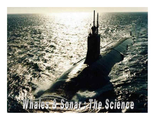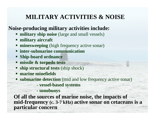# **MILITARY ACTIVITIES & NOISE**

### **Noise-producing military activities include:**

- **military ship noise** (large and small vessels)
- **military aircraft**
- **minesweeping** (high frequency active sonar)
- **inter-submarine communication**
- **Ship-board ordnance**
- **missile & torpedo tests**
- **ship structural tests** (ship shock)
- **marine minefields**
- **Submarine detection** (mid and low frequency active sonar)
	- **vessel-based systems**
	- **sonobuoys**

**Of all the sources of marine noise, the impacts of mid-frequency (c. 3-7 kHz) active sonar on cetaceans is a particular concern**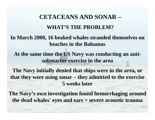# **CETACEANS AND SONAR – WHAT'S THE PROBLEM?**

#### **In March 2000, 16 beaked whales stranded themselves on beaches in the Bahamas**

**At the same time the US Navy was conducting an antisubmarine exercise in the area**

**The Navy initially denied that ships were in the area, or that they were using sonar – they admitted to the exercise 5 weeks later**

**The Navy's own investigation found hemorrhaging around the dead whales' eyes and ears = severe acoustic trauma**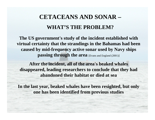# **CETACEANS AND SONAR – WHAT'S THE PROBLEM?**

**The US government's study of the incident established with virtual certainty that the strandings in the Bahamas had been caused by mid-frequency active sonar used by Navy ships passing through the area** [Evans and England (2001)]

**After the incident, all of the area's beaked whales disappeared, leading researchers to conclude that they had abandoned their habitat or died at sea**

**In the last year, beaked whales have been resighted, but only one has been identified from previous studies**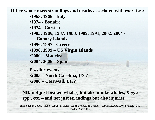**Other whale mass strandings and deaths associated with exercises:**

•**1963, 1966 - Italy**

•**1974 - Bonaire**

•**1974 - Corsica**

•**1985, 1986, 1987, 1988, 1989, 1991, 2002, 2004 -**

**Canary Islands** 

•**1996, 1997 - Greece**

•**1998, 1999 – US Virgin Islands**

•**2000 – Madeira**

•**2004, 2006 – Spain**

**Possible events**•**2005 – North Carolina, US ?** •**2008 – Cornwall, UK?**

**NB: not just beaked whales, but also minke whales,** *Kogia*  **spp., etc. – and not just strandings but also injuries**

[Simmonds & Lopez-Jurado (1991); Frantzis (1998); Frantzis & Cebrian (1999); Mead (2000); Frantzis ( 2004); Taylor *et al*. (2004)]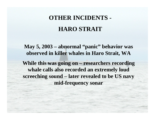# **OTHER INCIDENTS - HARO STRAIT**

**May 5, 2003 – abnormal "panic" behavior was observed in killer whales in Haro Strait, WA**

**While this was going on – researchers recording whale calls also recorded an extremely loud screeching sound – later revealed to be US navy mid-frequency sonar**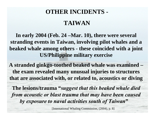# **OTHER INCIDENTS -**

## **TAIWAN**

**In early 2004 (Feb. 24 –Mar. 10), there were several stranding events in Taiwan, involving pilot whales and a beaked whale among others - these coincided with a joint US/Philippine military exercise** 

**A stranded ginkgo-toothed beaked whale was examined – the exam revealed many unusual injuries to structures that are associated with, or related to, acoustics or diving**

**The lesions/trauma "***suggest that this beaked whale died from acoustic or blast trauma that may have been caused by exposure to naval activities south of Taiwan* **"**

[International Whaling Commission, (2004), p. 8]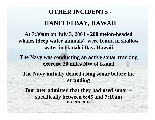### **OTHER INCIDENTS -**

### **HANELEI BAY, HAWAII**

**At 7:30am on July 3, 2004 - 200 melon-headed whales (deep water animals) were found in shallow water in Hanalei Bay, Hawaii**

**The Navy was conducting an active sonar tracking exercise 20 miles NW of Kauai**

**The Navy initially denied using sonar before the stranding**

**But later admitted that they had used sonar – specifically between 6:45 and 7:10am**

[Kaufman (2004)]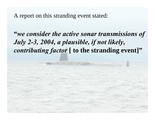A report on this stranding event stated:

# **"***we consider the active sonar transmissions of July 2-3, 2004, a plausible, if not likely, contributing factor* **[ to the stranding event]"**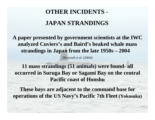# **OTHER INCIDENTS -**

# **JAPAN STRANDINGS**

**A paper presented by government scientists at the IWC analyzed Cuviers's and Baird's beaked whale mass strandings in Japan from the late 1950s – 2004**  [Brownell *et al.* (2004)]

**11 mass strandings (51 animals) were found- all occurred in Suruga Bay or Sagami Bay on the central Pacific coast of Honshu**

**These bays are adjacent to the command base for operations of the US Navy's Pacific 7th Fleet (Yokosuka)**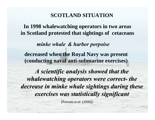#### **SCOTLAND SITUATION**

**In 1998 whalewatching operators in two areas in Scotland protested that sightings of cetaceans**

*minke whale & harbor porpoise* **decreased when the Royal Navy was present (conducting naval anti-submarine exercises)** A scientific analysis showed that the *whalewatching operators were correct- the* 

decrease in minke whale sightings during these *exercises was statistically significant exercises was statistically significant*

[Parsons *et al.* (2000)]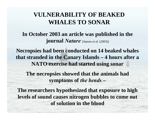# **VULNERABILITY OF BEAKED WHALES TO SONAR**

#### **In October 2003 an article was published in the journal** *Nature* [Jepson *et al.* (2003)]

**Necropsies had been conducted on 14 beaked whales that stranded in the Canary Islands – 4 hours after a NATO exercise had started using sonar**

**The necropsies showed that the animals had symptoms of** *the bends* **–**

**The researchers hypothesized that exposure to high levels of sound causes nitrogen bubbles to come out of solution in the blood**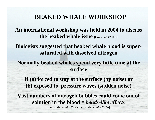# **BEAKED WHALE WORKSHOP**

**An international workshop was held in 2004 to discuss the beaked whale issue** [Cox *et al.* (2005)]

**Biologists suggested that beaked whale blood is supersaturated with dissolved nitrogen** 

**Normally beaked whales spend very little time at the surface**

**If (a) forced to stay at the surface (by noise) or (b) exposed to pressure waves (sudden noise) Vast numbers of nitrogen bubbles could come out of solution in the blood =** *bends-like effects*  [Fernández *et al.* (2004); Fernández *et al.* (2005)]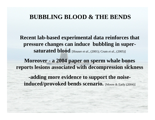### **BUBBLING BLOOD & THE BENDS**

**Recent lab-based experimental data reinforces that pressure changes can induce bubbling in supersaturated blood** [Houser *et al*., (2001); Crum *et al*., (2005)]

**Moreover - a 2004 paper on sperm whale bones reports lesions associated with decompression sickness**

**-adding more evidence to support the noise**induced/provoked bends scenario. [Moore & Early (2004)]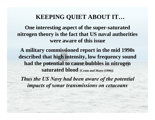# **KEEPING QUIET ABOUT IT…**

**One interesting aspect of the super-saturated nitrogen theory is the fact that US naval authorities were aware of this issue**

**A military commissioned report in the mid 1990s described that high intensity, low frequency sound had the potential to cause bubbles in nitrogen saturated blood** [Crum and Mayo (1996)]

*Thus the US Navy had been aware of the potential impacts of sonar transmissions on cetaceans*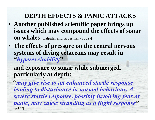# **DEPTH EFFECTS & PANIC ATTACKS**

- **Another published scientific paper brings up issues which may compound the effects of sonar on whales** [Talpalar and Grossman (2002)]
- **The effects of pressure on the central nervous systems of diving cetaceans may result in "***hyperexcitabilit***y"**

**and exposure to sonar while submerged, particularly at depth:**

**"***may give rise to an enhanced startle response leading to disturbance in normal behaviour. A severe startle response, possibly involving fear or panic, may cause stranding as a flight response***"** [p 137]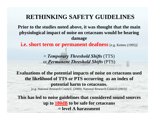# **RETHINKING SAFETY GUIDELINES**

**Prior to the studies noted above, it was thought that the main physiological impact of noise on cetaceans would be hearing damage**

**i.e. short term or permanent deafness** [e.g. Ketten (1995)]

<sup>=</sup>*Temporary Threshold Shifts* (TTS) or *Permanent Threshold Shifts* (PTS)

**Evaluations of the potential impacts of noise on cetaceans used the likelihood of TTS or PTS occurring as an index of potential harm to cetaceans.**

[e.g. National Research Council. (2000); National Research Council (2003)]

**This has led to noise guidelines that considered sound sources up to 180dB to be safe for cetaceans = level A harassment**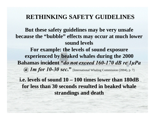# **RETHINKING SAFETY GUIDELINES**

**But these safety guidelines may be very unsafe because the "bubble" effects may occur at much lower sound levels**

**For example: the levels of sound exposure experienced by beaked whales during the 2000 Bahamas incident "***do not exceed 160-170 dB re 1μPa @ 1m for 10-30 sec***."** [International Whaling Commission (2004), p. 7]

**i.e. levels of sound 10 – 100 times lower than 180dB for less than 30 seconds resulted in beaked whale for less than 30 seconds resulted in beaked whale strandings and death strandings and death**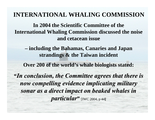# **INTERNATIONAL WHALING COMMISSION**

**In 2004 the Scientific Committee of the International Whaling Commission discussed the noise and cetacean issue** 

**– including the Bahamas, Canaries and Japan strandings & the Taiwan incident**

**Over 200 of the world's whale biologists stated:**

**"***In conclusion, the Committee agrees that there is In conclusion, the Committee agrees that there is now compelling evidence implicating military now compelling evidence implicating military sonar as a direct impact on beaked whales in particular particular***"** [IWC 2004, p 44**]**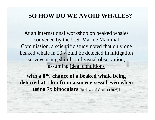# **SO HOW DO WE AVOID WHALES?**

At an international workshop on beaked whales convened by the U.S. Marine Mammal Commission, a scientific study noted that only one beaked whale in 50 would be detected in mitigation surveys using ship-board visual observation, assuming ideal conditions

with a  $0\%$  chance of a beaked whale being **detected at 1 km from a survey vessel even when using 7x binoculars** [Barlow and Gisiner (2006)]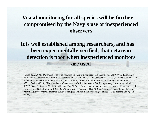#### **Visual monitoring for all species will be further compromised by the Navy's use of inexperienced observers**

**It is well established among researchers, and has been experimentally verified, that cetacean detection is poor when inexperienced monitors are used** 

[Stone, C.J. (2003), *The effects of seismic activities on marine mammals in UK waters 1998-2000*, JNCC Report 323, Joint Nature Conservation Committee, Peterborough, UK; Wade, P.R. and Gerrodette T. (1993), "Estimates of cetacean abundance and distribution in the eastern tropical Pacific," *Reports of the International Whaling Commission* 43: 477- 493; J. Barlow (1995), "The abundance of cetaceans in Californian waters, Part I: Ship surveys in summer and fall 1991," *Fisheries Bulletin* 93: 1-14; Jefferson, T.A. (1996), "Estimates of abundance for cetaceans in offshore waters of the northwest Gulf of Mexico, 1992-1993," *Southwestern Naturalist* 41: 279-287; Aragones, L.V. Jefferson T.A. and Marsh H. (1997), "Marine mammal survey techniques applicable in developing countries," *Asian Marine Biology* 14: 15-39]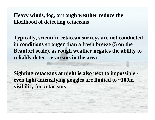#### **Heavy winds, fog, or rough weather reduce the likelihood of detecting cetaceans**

**Typically, scientific cetacean surveys are not conducted in conditions stronger than a fresh breeze (5 on the Beaufort scale), as rough weather negates the ability to reliably detect cetaceans in the area**

**Sighting cetaceans at night is also next to impossible even light-intensifying goggles are limited to ~100m visibility for cetaceans**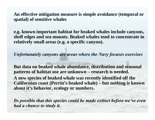**An effective mitigation measure is simple avoidance (temporal or spatial) of sensitive whales** 

**e.g. known important habitat for beaked whales include canyons, shelf edges and sea mounts. Beaked whales tend to concentrate in relatively small areas (e.g. a specific canyon).** 

*Unfortunately canyons are areas where the Navy focuses exercises*

**But data on beaked whale abundance, distribution and seasonal patterns of habitat use are unknown – research is needed.** 

**A new species of beaked whale was recently identified off the Californian coast (Perrin's beaked whale) – but nothing is known about it's behavior, ecology or numbers.**

*Its possible that this species could be made extinct before we've even had a chance to study it.*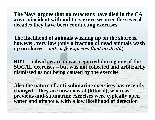**The Navy argues that no cetaceans have died in the CA area coincident with military exercises over the several decades they have been conducting exercises** 

**The likelihood of animals washing up on the shore is, however, very low (only a fraction of dead animals wash up on shores –** *only a few species float on death***)** 

**BUT – a dead cetacean was reported during one of the SOCAL exercises – but was not collected and arbitrarily dismissed as not being caused by the exercise** 

**Also the nature of anti-submarine exercises has recently changed – they are now coastal (littoral), whereas previous anti-submarine exercises were typically open water and offshore, with a low likelihood of detection**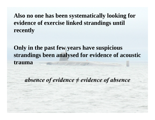**Also no one has been systematically looking for evidence of exercise linked strandings until recently**

**Only in the past few years have suspicious strandings been analysed for evidence of acoustic trauma** 

*absence of evidence ≠ evidence of absence*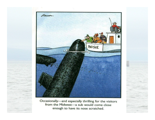

Occasionally-and especially thrilling for the visitors from the Midwest-a sub would come close enough to have its nose scratched.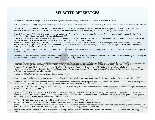#### **SELECTED REFERENCES**

- •Balcomb, K.C. and D.E. Claridge. 2001. A mass stranding of cetaceans caused by naval sonar in the Bahamas. *Bahamas J. Sci.* 8:1-12.
- •Barlow, J. and Gisner, R. (2006), "Mitigating, monitoring and assessing the effects of anthropogenic sound on beaked whales," *Journal of Cetacean research and Management* 7: 239-249
- • Brownell, Jr., R.L., Yamada, T., Mead, J.G. and van Helden, A.L. 2004. Mass Strandings of Cuvier's Beaked Whales in Japan: U.S. Naval Acoustic Link? Paper presented to the Scientific Committee at the 56th Meeting of the International Whaling Commission, 29 June–10 July 2004, Sorrento, Italy. SC56/E37.
- • Crum, L.A. and Mayo, Y.I. 1996. *Acoustically enhanced bubble growth at low frequencies and its implications for human diver and marine mammal safety.* Tech. Report C-193. Naval Submarine Medical Research Laboratory. 993.
- • Crum, L.A., Bailey, M.R., Guan, J., Hilmo, P.R., Kargl, S.G., Mutula, T.J. and Sapozhnikov, O.A. 2005. Monitoring bubble growth in supersaturated blood and tissue *ex vivo* and the relevance to marine mammal bioeffects. *Acoustics Research Letters Online* 6: 214-220.
- • Espinosa, A., Arbelo, M., Castro, P., Martín, V., Gallardo, T. And Fernández, A. 2005. New beaked whale mass stranding in Canary Islands associated with naval military excercises (Majestic Eagle 2004). In: *19th Annual Conference of the European Cetacean Society and Associated Workshops, 2-7April ,2005, La Rochelle, France*, p. 95. European Cetacean Society, La Rochelle.
- • Evans, D.L., and G.R. England, G.R. 2001. *Joint Interim Report Bahamas Marine Mammal Stranding Event of 14-16 March 2000*. National Oceanic and Atmospheric d Stranding Response Program/Interim Bahamas Report.pdf).
- • Fernandez, A. 2004. Pathological findings in stranded beaked whales during the naval military maneuvers near the Canary Islands. In: *Proceedings of the Workshop on Active Sonar and Cetaceans*, pp. 37-40. ECS 17th Annual Conference, Canary Islands, March 8, 2003. (http://cetaceancommunity.com/! $1$ ECSnewsltr42,%20 ${\rm A}$ ctive\_Sonar\_Workshop.pd ).
- • Fernández, A., Edwards J.F., Rodríguez, F., Espinosa de los Monteros, A., Herráez, P., Castro, P., Jaber, J.R., Martín, V. and Arbelo, M. 2005a. "Gas and Fat Embolic Syndrome" involving a mass stranding of beaked whales (Family *Ziphiidae*) exposed to anthropogenic sonar signals. *Veterinary Pathology* 42: 446-457.
- • Fernández, A., Mendez, M., Sierra, E., Godhino, A., Herráez, P., Espinosa, A., Rodríguez, F. and Arbelo, M. 2005b. New gas and fat embolic pathology in beaked whales stranded in the Canary islands. In: *19th Annual Conference of the European Cetacean Society and Associated Workshops, 2-7April ,2005, La Rochelle, France*, p. 95. European Cetacean Society, La Rochelle.
- •Frantzis, A. 1998. Does acoustic testing strand whales? *Nature* 392: 29.

•

- •Frantzis, A. and D. Cebrian. 1999. A rare mass stranding of Cuvier's beaked whales: cause and implications for the species biology. *Europ. Res. Cet.* 12:332-335.
- • Frantzis, A. 2004. The first mass stranding that was associated with the use of active sonar (Kyparissiakos Gulf, Greece, 1996). Pages 14-20, *In*: Proc. Workshop on Active Sonar & Cetaceans, P. G. H. Evans and L.A. Miller, editors, ECS Newsletter no. 42, special issue.
- • Houser, D.S., R. Howard, and S. Ridgway. 2001. Can diving-induced tissue nitrogen supersaturation increase the chance of acoustically driven bubble growth in marine mammals? *J. Theor. Biol.* 213:183-195.
- • Jepson, P.D., M. Arbelo, R. Deaville, I.A.P. Patterson, P. Castro, J.R. Baker, E. Degollada, H.M. Ross, P. Herráez, A.M. Pocknell, F. Rodríguez, F.E. Howiell, A. Espinosa, R.J. Reid, J.R. Jaber, V. Martin, A.A. Cunningham, and A. Fernández. 2003. Gas-bubble lesions in stranded cetaceans: was sonar responsible for a spate of whale deaths after an Atlantic military exercise? *Nature* 425:575-576.
- Kaufman, M. 2004. Sonar used before whales hit shore. *Washington Post* 31August 2004: A3.
- •Kaufman, M. 2005. Whale Stranding in N.C. Followed Navy Sonar Use. *Washington Post* 28January 2005: A3.
- • Ketten, D.R. 1995. Estimates of blast injury and acoustic trauma zones for marine mammals from underwater explosions. In: *Sensory systems of marine mammals,* (Ed. by R. Kastelein, J.A. Thomas and P.E. Nachtingall), pp. 391-407. De Spil Publishing, Woerden, Netherlands.
- International Whaling Commission. 2004a. *Report of the Standing Working Group on Environmental Concerns*. International Whaling Commission, Cambridge, UK. 56pp.